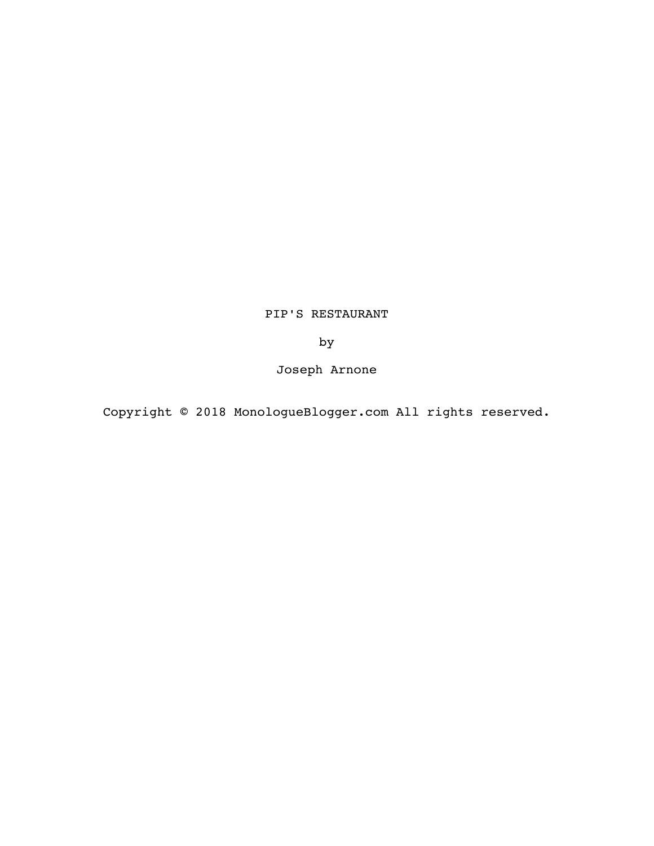# PIP'S RESTAURANT

by

Joseph Arnone

Copyright © 2018 MonologueBlogger.com All rights reserved.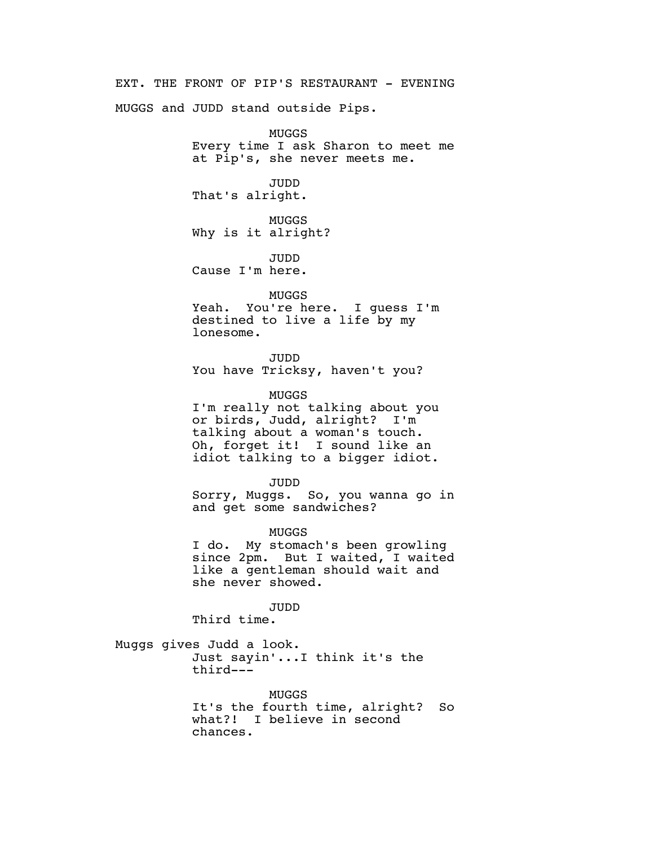EXT. THE FRONT OF PIP'S RESTAURANT - EVENING

MUGGS and JUDD stand outside Pips.

MUGGS Every time I ask Sharon to meet me at Pip's, she never meets me.

JUDD That's alright.

MUGGS Why is it alright?

JUDD Cause I'm here.

#### MUGGS

Yeah. You're here. I guess I'm destined to live a life by my lonesome.

JUDD You have Tricksy, haven't you?

MUGGS

I'm really not talking about you or birds, Judd, alright? I'm talking about a woman's touch. Oh, forget it! I sound like an idiot talking to a bigger idiot.

JUDD

Sorry, Muggs. So, you wanna go in and get some sandwiches?

MUGGS

I do. My stomach's been growling since 2pm. But I waited, I waited like a gentleman should wait and she never showed.

JUDD

Third time.

Muggs gives Judd a look. Just sayin'...I think it's the third---

> MUGGS It's the fourth time, alright? So what?! I believe in second chances.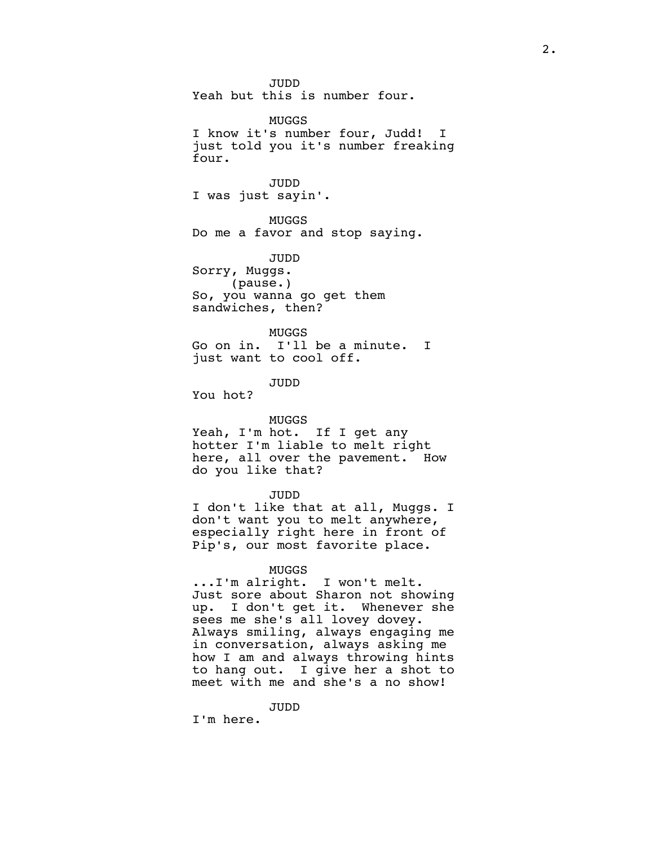JUDD Yeah but this is number four.

MUGGS I know it's number four, Judd! I just told you it's number freaking four.

JUDD I was just sayin'.

MUGGS Do me a favor and stop saying.

JUDD Sorry, Muggs. (pause.) So, you wanna go get them sandwiches, then?

# MUGGS

Go on in. I'll be a minute. I just want to cool off.

JUDD

You hot?

#### MUGGS

Yeah, I'm hot. If I get any hotter I'm liable to melt right here, all over the pavement. How do you like that?

#### JUDD

I don't like that at all, Muggs. I don't want you to melt anywhere, especially right here in front of Pip's, our most favorite place.

#### MUGGS

...I'm alright. I won't melt. Just sore about Sharon not showing up. I don't get it. Whenever she sees me she's all lovey dovey. Always smiling, always engaging me in conversation, always asking me how I am and always throwing hints to hang out. I give her a shot to meet with me and she's a no show!

JUDD

I'm here.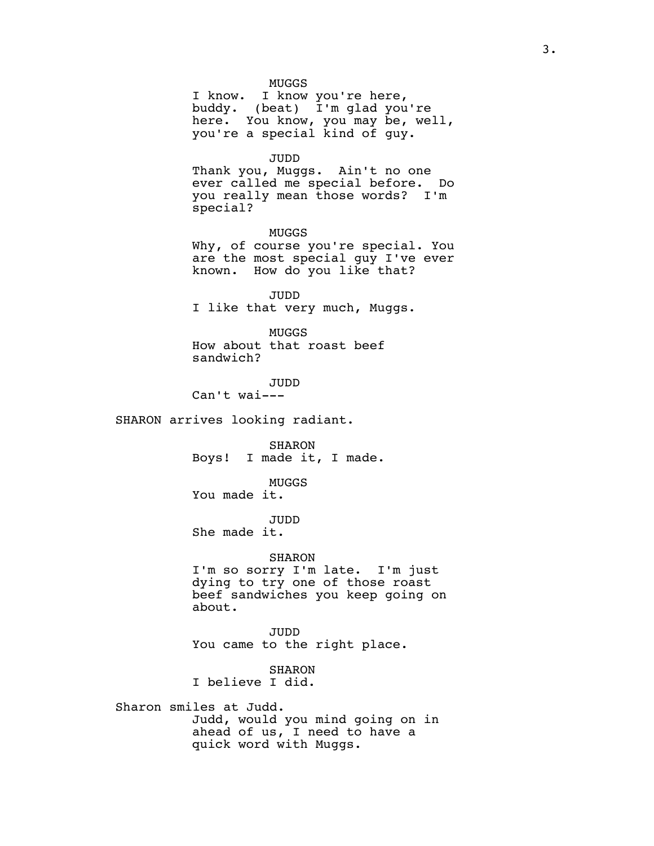MUGGS

I know. I know you're here, buddy. (beat) I'm glad you're here. You know, you may be, well, you're a special kind of guy.

JUDD

Thank you, Muggs. Ain't no one ever called me special before. Do you really mean those words? I'm special?

MUGGS Why, of course you're special. You are the most special guy I've ever known. How do you like that?

JUDD I like that very much, Muggs.

MUGGS How about that roast beef sandwich?

JUDD Can't wai---

SHARON arrives looking radiant.

SHARON Boys! I made it, I made.

MUGGS

You made it.

JUDD

She made it.

SHARON

I'm so sorry I'm late. I'm just dying to try one of those roast beef sandwiches you keep going on about.

JUDD You came to the right place.

SHARON I believe I did.

Sharon smiles at Judd. Judd, would you mind going on in ahead of us, I need to have a quick word with Muggs.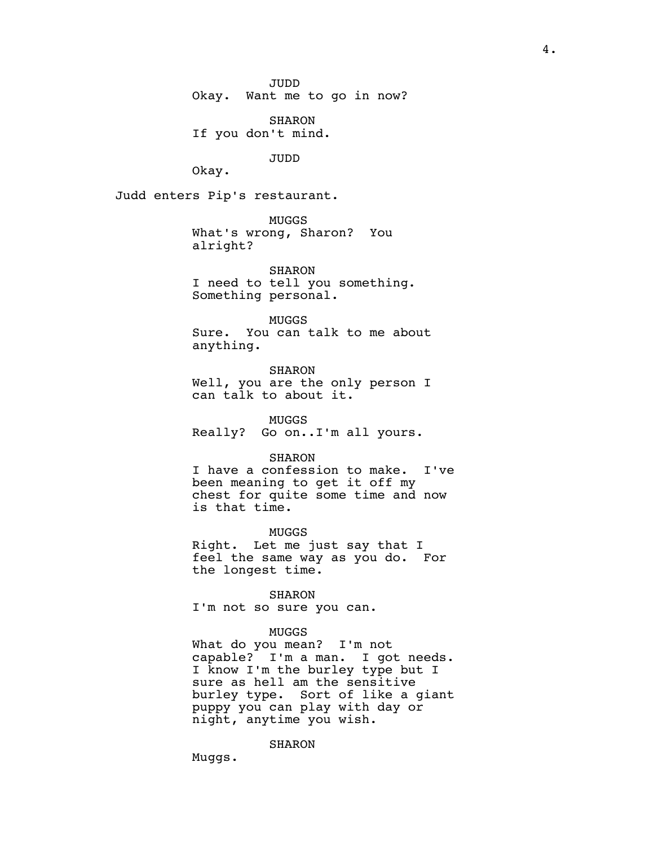JUDD

Okay. Want me to go in now?

SHARON If you don't mind.

JUDD

Okay.

Judd enters Pip's restaurant.

MUGGS What's wrong, Sharon? You alright?

SHARON I need to tell you something. Something personal.

MUGGS Sure. You can talk to me about anything.

SHARON Well, you are the only person I can talk to about it.

MUGGS Really? Go on..I'm all yours.

SHARON

I have a confession to make. I've been meaning to get it off my chest for quite some time and now is that time.

MUGGS

Right. Let me just say that I feel the same way as you do. For the longest time.

SHARON

I'm not so sure you can.

#### MUGGS

What do you mean? I'm not capable? I'm a man. I got needs. I know I'm the burley type but I sure as hell am the sensitive burley type. Sort of like a giant puppy you can play with day or night, anytime you wish.

SHARON

Muggs.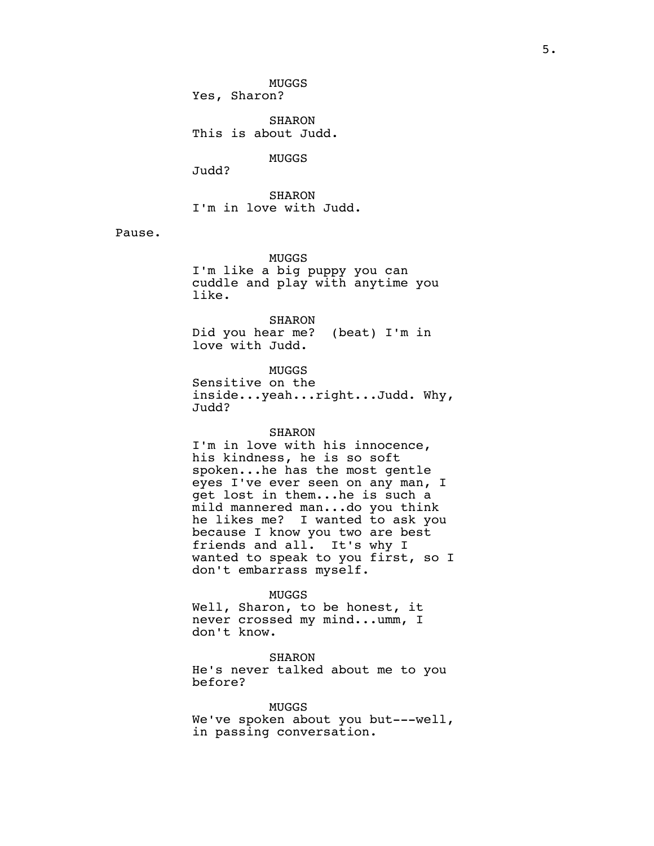MUGGS Yes, Sharon?

SHARON This is about Judd.

MUGGS

Judd?

SHARON I'm in love with Judd.

Pause.

MUGGS I'm like a big puppy you can cuddle and play with anytime you like.

SHARON Did you hear me? (beat) I'm in love with Judd.

MUGGS Sensitive on the inside...yeah...right...Judd. Why, Judd?

## SHARON

I'm in love with his innocence, his kindness, he is so soft spoken...he has the most gentle eyes I've ever seen on any man, I get lost in them...he is such a mild mannered man...do you think he likes me? I wanted to ask you because I know you two are best friends and all. It's why I wanted to speak to you first, so I don't embarrass myself.

#### MUGGS

Well, Sharon, to be honest, it never crossed my mind...umm, I don't know.

SHARON He's never talked about me to you before?

MUGGS We've spoken about you but---well, in passing conversation.